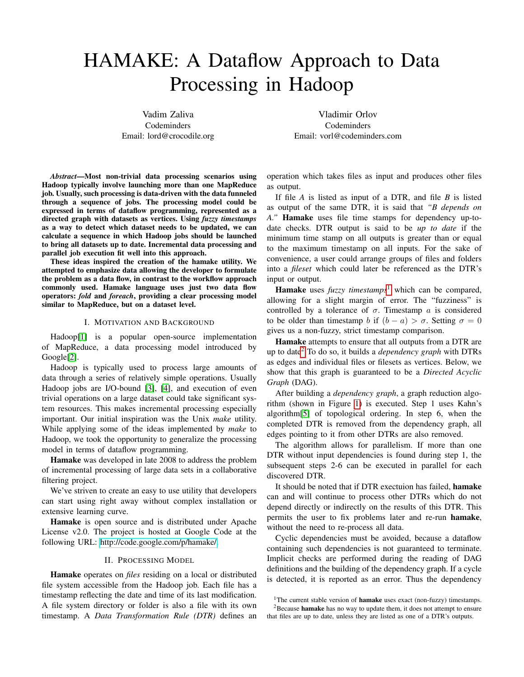# HAMAKE: A Dataflow Approach to Data Processing in Hadoop

Vadim Zaliva Codeminders Email: lord@crocodile.org

Vladimir Orlov Codeminders Email: vorl@codeminders.com

*Abstract*—Most non-trivial data processing scenarios using Hadoop typically involve launching more than one MapReduce job. Usually, such processing is data-driven with the data funneled through a sequence of jobs. The processing model could be expressed in terms of dataflow programming, represented as a directed graph with datasets as vertices. Using *fuzzy timestamps* as a way to detect which dataset needs to be updated, we can calculate a sequence in which Hadoop jobs should be launched to bring all datasets up to date. Incremental data processing and parallel job execution fit well into this approach.

These ideas inspired the creation of the hamake utility. We attempted to emphasize data allowing the developer to formulate the problem as a data flow, in contrast to the workflow approach commonly used. Hamake language uses just two data flow operators: *fold* and *foreach*, providing a clear processing model similar to MapReduce, but on a dataset level.

#### I. MOTIVATION AND BACKGROUND

Hadoop[\[1\]](#page-3-0) is a popular open-source implementation of MapReduce, a data processing model introduced by Google[\[2\]](#page-3-1).

Hadoop is typically used to process large amounts of data through a series of relatively simple operations. Usually Hadoop jobs are I/O-bound [\[3\]](#page-3-2), [\[4\]](#page-3-3), and execution of even trivial operations on a large dataset could take significant system resources. This makes incremental processing especially important. Our initial inspiration was the Unix *make* utility. While applying some of the ideas implemented by *make* to Hadoop, we took the opportunity to generalize the processing model in terms of dataflow programming.

Hamake was developed in late 2008 to address the problem of incremental processing of large data sets in a collaborative filtering project.

We've striven to create an easy to use utility that developers can start using right away without complex installation or extensive learning curve.

Hamake is open source and is distributed under Apache License v2.0. The project is hosted at Google Code at the following URL: [http://code.google.com/p/hamake/.](http://code.google.com/p/hamake/)

## II. PROCESSING MODEL

Hamake operates on *files* residing on a local or distributed file system accessible from the Hadoop job. Each file has a timestamp reflecting the date and time of its last modification. A file system directory or folder is also a file with its own timestamp. A *Data Transformation Rule (DTR)* defines an

operation which takes files as input and produces other files as output.

If file *A* is listed as input of a DTR, and file *B* is listed as output of the same DTR, it is said that *"B depends on A."* Hamake uses file time stamps for dependency up-todate checks. DTR output is said to be *up to date* if the minimum time stamp on all outputs is greater than or equal to the maximum timestamp on all inputs. For the sake of convenience, a user could arrange groups of files and folders into a *fileset* which could later be referenced as the DTR's input or output.

**Hamake** uses *fuzzy timestamps*<sup>[1](#page-0-0)</sup> which can be compared, allowing for a slight margin of error. The "fuzziness" is controlled by a tolerance of  $\sigma$ . Timestamp a is considered to be older than timestamp b if  $(b - a) > \sigma$ . Setting  $\sigma = 0$ gives us a non-fuzzy, strict timestamp comparison.

Hamake attempts to ensure that all outputs from a DTR are up to date[2](#page-0-1) To do so, it builds a *dependency graph* with DTRs as edges and individual files or filesets as vertices. Below, we show that this graph is guaranteed to be a *Directed Acyclic Graph* (DAG).

After building a *dependency graph*, a graph reduction algorithm (shown in Figure [1\)](#page-1-0) is executed. Step 1 uses Kahn's algorithm[\[5\]](#page-3-4) of topological ordering. In step 6, when the completed DTR is removed from the dependency graph, all edges pointing to it from other DTRs are also removed.

The algorithm allows for parallelism. If more than one DTR without input dependencies is found during step 1, the subsequent steps 2-6 can be executed in parallel for each discovered DTR.

It should be noted that if DTR exectuion has failed, hamake can and will continue to process other DTRs which do not depend directly or indirectly on the results of this DTR. This permits the user to fix problems later and re-run hamake, without the need to re-process all data.

Cyclic dependencies must be avoided, because a dataflow containing such dependencies is not guaranteed to terminate. Implicit checks are performed during the reading of DAG definitions and the building of the dependency graph. If a cycle is detected, it is reported as an error. Thus the dependency

<span id="page-0-1"></span><span id="page-0-0"></span><sup>&</sup>lt;sup>1</sup>The current stable version of **hamake** uses exact (non-fuzzy) timestamps.

<sup>&</sup>lt;sup>2</sup>Because hamake has no way to update them, it does not attempt to ensure that files are up to date, unless they are listed as one of a DTR's outputs.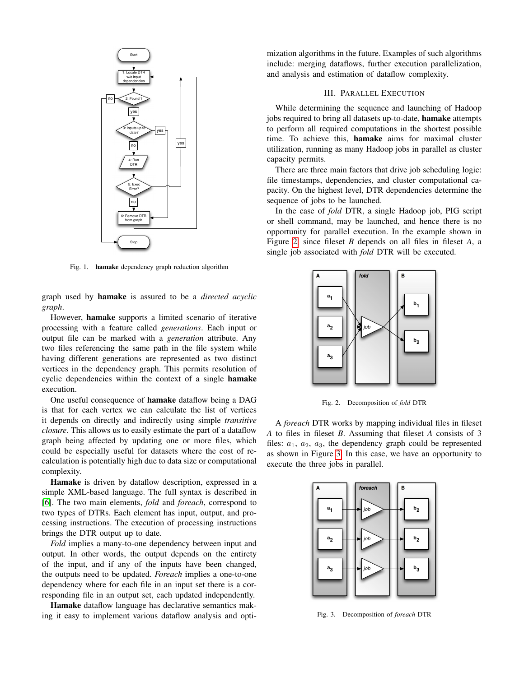

<span id="page-1-0"></span>Fig. 1. hamake dependency graph reduction algorithm

graph used by hamake is assured to be a *directed acyclic graph*.

However, hamake supports a limited scenario of iterative processing with a feature called *generations*. Each input or output file can be marked with a *generation* attribute. Any two files referencing the same path in the file system while having different generations are represented as two distinct vertices in the dependency graph. This permits resolution of cyclic dependencies within the context of a single hamake execution.

One useful consequence of hamake dataflow being a DAG is that for each vertex we can calculate the list of vertices it depends on directly and indirectly using simple *transitive closure*. This allows us to easily estimate the part of a dataflow graph being affected by updating one or more files, which could be especially useful for datasets where the cost of recalculation is potentially high due to data size or computational complexity.

Hamake is driven by dataflow description, expressed in a simple XML-based language. The full syntax is described in [\[6\]](#page-3-5). The two main elements, *fold* and *foreach*, correspond to two types of DTRs. Each element has input, output, and processing instructions. The execution of processing instructions brings the DTR output up to date.

*Fold* implies a many-to-one dependency between input and output. In other words, the output depends on the entirety of the input, and if any of the inputs have been changed, the outputs need to be updated. *Foreach* implies a one-to-one dependency where for each file in an input set there is a corresponding file in an output set, each updated independently.

Hamake dataflow language has declarative semantics making it easy to implement various dataflow analysis and optimization algorithms in the future. Examples of such algorithms include: merging dataflows, further execution parallelization, and analysis and estimation of dataflow complexity.

# III. PARALLEL EXECUTION

While determining the sequence and launching of Hadoop jobs required to bring all datasets up-to-date, hamake attempts to perform all required computations in the shortest possible time. To achieve this, hamake aims for maximal cluster utilization, running as many Hadoop jobs in parallel as cluster capacity permits.

There are three main factors that drive job scheduling logic: file timestamps, dependencies, and cluster computational capacity. On the highest level, DTR dependencies determine the sequence of jobs to be launched.

In the case of *fold* DTR, a single Hadoop job, PIG script or shell command, may be launched, and hence there is no opportunity for parallel execution. In the example shown in Figure [2,](#page-1-1) since fileset *B* depends on all files in fileset *A*, a single job associated with *fold* DTR will be executed.



<span id="page-1-1"></span>Fig. 2. Decomposition of *fold* DTR

A *foreach* DTR works by mapping individual files in fileset *A* to files in fileset *B*. Assuming that fileset *A* consists of 3 files:  $a_1$ ,  $a_2$ ,  $a_3$ , the dependency graph could be represented as shown in Figure [3.](#page-1-2) In this case, we have an opportunity to execute the three jobs in parallel.



<span id="page-1-2"></span>Fig. 3. Decomposition of *foreach* DTR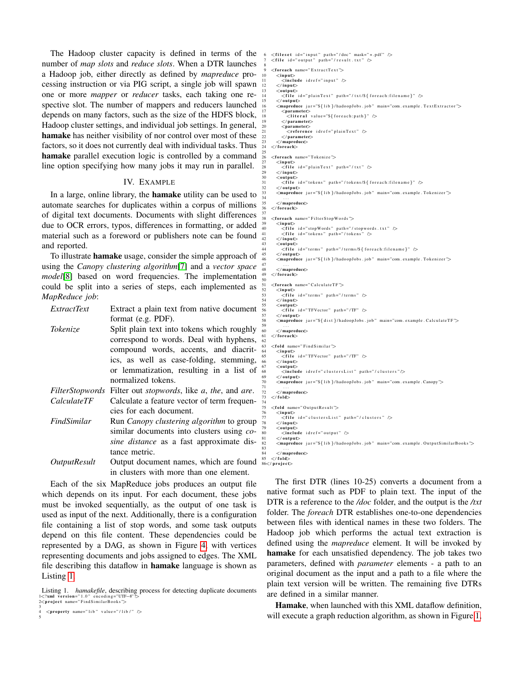The Hadoop cluster capacity is defined in terms of the number of *map slots* and *reduce slots*. When a DTR launches a Hadoop job, either directly as defined by *mapreduce* processing instruction or via PIG script, a single job will spawn one or more *mapper* or *reducer* tasks, each taking one respective slot. The number of mappers and reducers launched depends on many factors, such as the size of the HDFS block, Hadoop cluster settings, and individual job settings. In general, hamake has neither visibility of nor control over most of these factors, so it does not currently deal with individual tasks. Thus hamake parallel execution logic is controlled by a command line option specifying how many jobs it may run in parallel.

#### IV. EXAMPLE

In a large, online library, the hamake utility can be used to automate searches for duplicates within a corpus of millions of digital text documents. Documents with slight differences due to OCR errors, typos, differences in formatting, or added material such as a foreword or publishers note can be found and reported.

To illustrate hamake usage, consider the simple approach of using the *Canopy clustering algorithm*[\[7\]](#page-3-6) and a *vector space model*[\[8\]](#page-3-7) based on word frequencies. The implementation could be split into a series of steps, each implemented as *MapReduce job*:

| <i>ExtractText</i>  | Extract a plain text from native document                   |
|---------------------|-------------------------------------------------------------|
|                     | format (e.g. PDF).                                          |
| Tokenize            | Split plain text into tokens which roughly                  |
|                     | correspond to words. Deal with hyphens,                     |
|                     | compound words, accents, and diacrit-                       |
|                     | ics, as well as case-folding, stemming,                     |
|                     | or lemmatization, resulting in a list of                    |
|                     | normalized tokens.                                          |
|                     | FilterStopwords Filter out stopwords, like a, the, and are. |
| <i>CalculateTF</i>  | Calculate a feature vector of term frequen-                 |
|                     | cies for each document.                                     |
| FindSimilar         | Run Canopy clustering algorithm to group                    |
|                     | similar documents into clusters using co-                   |
|                     | sine distance as a fast approximate dis-                    |
|                     | tance metric.                                               |
| <b>OutputResult</b> | Output document names, which are found                      |
|                     | in clusters with more than one element.                     |

Each of the six MapReduce jobs produces an output file which depends on its input. For each document, these jobs must be invoked sequentially, as the output of one task is used as input of the next. Additionally, there is a configuration file containing a list of stop words, and some task outputs depend on this file content. These dependencies could be represented by a DAG, as shown in Figure [4,](#page-3-8) with vertices representing documents and jobs assigned to edges. The XML file describing this dataflow in hamake language is shown as Listing [1.](#page-2-0)

5

```
\langle file id=" output" path="/result.txt" />
  8
     <foreach name="Extraction<in put>nputs<br>- include idref="input" /
         12 </ i n p u t>
        <outpu\epsilon\ltfile id=" plainText" path="/txt/${foreach:filename}" />
        </\,outpu\,t>\leqmapreduce jar="${lib}/hadoopJobs.job" main="com.example.TextExtractor">
 17 <parame ter>
18 <l i t e r a l v a l u e ="${ f o r e a c h : p a t h}" />
           </ parameter>20 <parameter><br>21 <reference idref="plainText" />
 22 </parameter><br>23 </mapreduce><br>24 </foreach>
25
     <foreach name="Tokenize">
 27 <input><br>28 <file id="plainText" path="/txt" />
        \langle input\rangle30 <ou tpu t>
                   id = "tokens" path = " / tokens / $ { foreach: filename } " ></\sigmautpu
        \leq sarpa\leq is r = "${ lib }/hadoopJobs . job " main="com . example . Tokenizer">
 34 . . .<br>35 </mapreduce>
     \langle for each>37
     <foreach name="FilterStopWords">
        <in put>40 <f i l e i d =" st o pW o r d s " p at h =" / st o p w o r d s . t x t " />
41 <f i l e i d =" t o k e n s " p at h =" / t o k e n s " />
        \langle/input\rangle<outpu\odot\lefile id="terms" path="/terms/${foreach:filename}" \ge45 </ ou tpu t>
46 <mapreduce j a r ="${ l i b }/ h a d o o p J o b s . j o b " main="com . e xam ple . T o k e ni z e r ">
 47 . . .
         </ mapreduce>\langle foreach>50
51 <foreach name="CalculateTF">
 52 <input><br>53 <file id="terms" path="/terms" />
        \lt/ in put
        <outpu\epsilon\epsilon id="TFVector" path="/TF" />
        </output\leqmapreduce jar="${ dist }/hadoopJobs.job" main="com.example.CalculateTF">
 59 ...<br>60 </mapreduce><br>61 </foreach>
 62
     <fold name="FindSimilar">
 64 <i n p u t>
65 <f i l e i d =" TFVect o r " p at h =" / TF" />
        \langle/input><output>\leinclude idref="clustersList" path="/clusters"/>
        < / output\ddot{\phantom{1}}\leq surpaction j ar = "${ lib }/hadoopJobs.job" main="com.example.Canopy">
 71 ...<br>72 </mapreduce><br>73 </fold>
 74
 .<br>75 <fold name="OutputResult">
 76 <i n p u t>
77 <f i l e i d =" c l u s t e r s L i s t " p at h =" / c l u s t e r s " />
        \langle in put\rangle79 <ou tpu t>
80 <i n cl u d e i d r e f =" o u t p u t " />
        \langle output\rangle\leqmapreduce jar="${lib}/hadoopJobs.job" main="com.example.OutputSimilarBooks">
 83 . . .
         </ mapreduce\ge\langle fold
 86</project>
```
 $<$ fileset id="input" path="/doc" mask="\*.pdf" />

The first DTR (lines 10-25) converts a document from a native format such as PDF to plain text. The input of the DTR is a reference to the */doc* folder, and the output is the */txt* folder. The *foreach* DTR establishes one-to-one dependencies between files with identical names in these two folders. The Hadoop job which performs the actual text extraction is defined using the *mapreduce* element. It will be invoked by hamake for each unsatisfied dependency. The job takes two parameters, defined with *parameter* elements - a path to an original document as the input and a path to a file where the plain text version will be written. The remaining five DTRs are defined in a similar manner.

Hamake, when launched with this XML dataflow definition, will execute a graph reduction algorithm, as shown in Figure [1,](#page-1-0)

<span id="page-2-0"></span>Listing 1. *hamakefile*, describing process for detecting duplicate documents  $\langle 2 \rangle$  and  $\langle 2 \rangle$  reading="UIF-8"?> 1<?xml version="1.0" encoding="UTF−8"?><br>2<project name="FindSimilarBooks">

<sup>3</sup>  $\langle$ property name="lib" value="/lib/" />